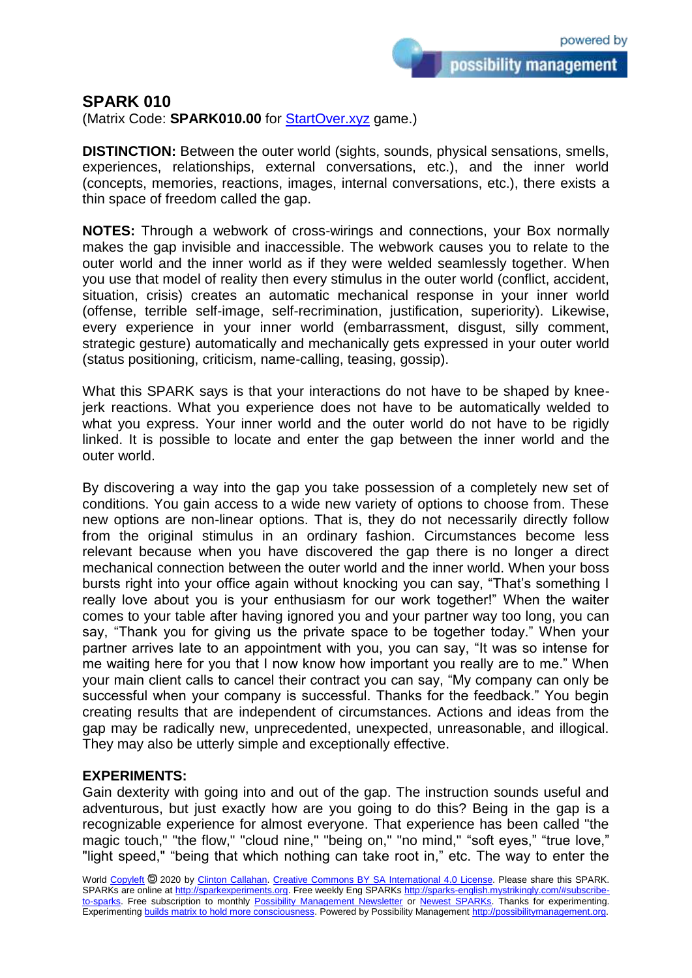possibility management

## **SPARK 010**

(Matrix Code: **SPARK010.00** for **StartOver.xyz** game.)

**DISTINCTION:** Between the outer world (sights, sounds, physical sensations, smells, experiences, relationships, external conversations, etc.), and the inner world (concepts, memories, reactions, images, internal conversations, etc.), there exists a thin space of freedom called the gap.

**NOTES:** Through a webwork of cross-wirings and connections, your Box normally makes the gap invisible and inaccessible. The webwork causes you to relate to the outer world and the inner world as if they were welded seamlessly together. When you use that model of reality then every stimulus in the outer world (conflict, accident, situation, crisis) creates an automatic mechanical response in your inner world (offense, terrible self-image, self-recrimination, justification, superiority). Likewise, every experience in your inner world (embarrassment, disgust, silly comment, strategic gesture) automatically and mechanically gets expressed in your outer world (status positioning, criticism, name-calling, teasing, gossip).

What this SPARK says is that your interactions do not have to be shaped by kneejerk reactions. What you experience does not have to be automatically welded to what you express. Your inner world and the outer world do not have to be rigidly linked. It is possible to locate and enter the gap between the inner world and the outer world.

By discovering a way into the gap you take possession of a completely new set of conditions. You gain access to a wide new variety of options to choose from. These new options are non-linear options. That is, they do not necessarily directly follow from the original stimulus in an ordinary fashion. Circumstances become less relevant because when you have discovered the gap there is no longer a direct mechanical connection between the outer world and the inner world. When your boss bursts right into your office again without knocking you can say, "That's something I really love about you is your enthusiasm for our work together!" When the waiter comes to your table after having ignored you and your partner way too long, you can say, "Thank you for giving us the private space to be together today." When your partner arrives late to an appointment with you, you can say, "It was so intense for me waiting here for you that I now know how important you really are to me." When your main client calls to cancel their contract you can say, "My company can only be successful when your company is successful. Thanks for the feedback." You begin creating results that are independent of circumstances. Actions and ideas from the gap may be radically new, unprecedented, unexpected, unreasonable, and illogical. They may also be utterly simple and exceptionally effective.

## **EXPERIMENTS:**

Gain dexterity with going into and out of the gap. The instruction sounds useful and adventurous, but just exactly how are you going to do this? Being in the gap is a recognizable experience for almost everyone. That experience has been called "the magic touch," "the flow," "cloud nine," "being on," "no mind," "soft eyes," "true love," "light speed," "being that which nothing can take root in," etc. The way to enter the

World [Copyleft](https://en.wikipedia.org/wiki/Copyleft) <sup>®</sup> 2020 by [Clinton Callahan.](http://clintoncallahan.mystrikingly.com/) [Creative Commons BY SA International 4.0 License.](https://creativecommons.org/licenses/by-sa/4.0/) Please share this SPARK. SPARKs are online at [http://sparkexperiments.org.](http://sparks-english.mystrikingly.com/) Free weekly Eng SPARKs [http://sparks-english.mystrikingly.com/#subscribe](http://sparks-english.mystrikingly.com/#subscribe-to-sparks)[to-sparks.](http://sparks-english.mystrikingly.com/#subscribe-to-sparks) Free subscription to monthly [Possibility Management Newsletter](https://possibilitymanagement.org/news/) or [Newest SPARKs.](https://www.clintoncallahan.org/newsletter-1) Thanks for experimenting. Experimentin[g builds matrix to hold more consciousness.](http://spaceport.mystrikingly.com/) Powered by Possibility Managemen[t http://possibilitymanagement.org.](http://possibilitymanagement.org/)